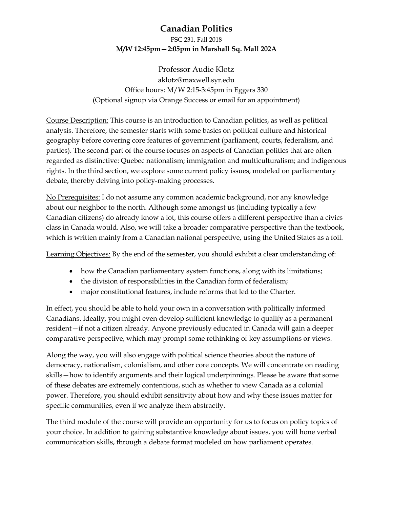# **Canadian Politics**

## PSC 231, Fall 2018 **M/W 12:45pm—2:05pm in Marshall Sq. Mall 202A**

Professor Audie Klotz aklotz@maxwell.syr.edu Office hours: M/W 2:15-3:45pm in Eggers 330 (Optional signup via Orange Success or email for an appointment)

Course Description: This course is an introduction to Canadian politics, as well as political analysis. Therefore, the semester starts with some basics on political culture and historical geography before covering core features of government (parliament, courts, federalism, and parties). The second part of the course focuses on aspects of Canadian politics that are often regarded as distinctive: Quebec nationalism; immigration and multiculturalism; and indigenous rights. In the third section, we explore some current policy issues, modeled on parliamentary debate, thereby delving into policy-making processes.

No Prerequisites: I do not assume any common academic background, nor any knowledge about our neighbor to the north. Although some amongst us (including typically a few Canadian citizens) do already know a lot, this course offers a different perspective than a civics class in Canada would. Also, we will take a broader comparative perspective than the textbook, which is written mainly from a Canadian national perspective, using the United States as a foil.

Learning Objectives: By the end of the semester, you should exhibit a clear understanding of:

- how the Canadian parliamentary system functions, along with its limitations;
- the division of responsibilities in the Canadian form of federalism;
- major constitutional features, include reforms that led to the Charter.

In effect, you should be able to hold your own in a conversation with politically informed Canadians. Ideally, you might even develop sufficient knowledge to qualify as a permanent resident—if not a citizen already. Anyone previously educated in Canada will gain a deeper comparative perspective, which may prompt some rethinking of key assumptions or views.

Along the way, you will also engage with political science theories about the nature of democracy, nationalism, colonialism, and other core concepts. We will concentrate on reading skills—how to identify arguments and their logical underpinnings. Please be aware that some of these debates are extremely contentious, such as whether to view Canada as a colonial power. Therefore, you should exhibit sensitivity about how and why these issues matter for specific communities, even if we analyze them abstractly.

The third module of the course will provide an opportunity for us to focus on policy topics of your choice. In addition to gaining substantive knowledge about issues, you will hone verbal communication skills, through a debate format modeled on how parliament operates.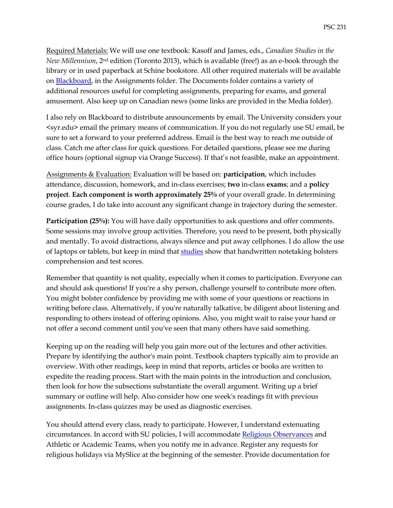Required Materials: We will use one textbook: Kasoff and James, eds., *Canadian Studies in the New Millennium*, 2nd edition (Toronto 2013), which is available (free!) as an e-book through the library or in used paperback at Schine bookstore. All other required materials will be available on Blackboard, in the Assignments folder. The Documents folder contains a variety of additional resources useful for completing assignments, preparing for exams, and general amusement. Also keep up on Canadian news (some links are provided in the Media folder).

I also rely on Blackboard to distribute announcements by email. The University considers your <syr.edu> email the primary means of communication. If you do not regularly use SU email, be sure to set a forward to your preferred address. Email is the best way to reach me outside of class. Catch me after class for quick questions. For detailed questions, please see me during office hours (optional signup via Orange Success). If that's not feasible, make an appointment.

Assignments & Evaluation: Evaluation will be based on: **participation**, which includes attendance, discussion, homework, and in-class exercises; **two** in-class **exams**; and a **policy project**. **Each component is worth approximately 25%** of your overall grade. In determining course grades, I do take into account any significant change in trajectory during the semester.

**Participation (25%):** You will have daily opportunities to ask questions and offer comments. Some sessions may involve group activities. Therefore, you need to be present, both physically and mentally. To avoid distractions, always silence and put away cellphones. I do allow the use of laptops or tablets, but keep in mind that [studies](http://m.chronicle.com/article/The-Benefits-of-No-Tech-Note/228089/) show that handwritten notetaking bolsters comprehension and test scores.

Remember that quantity is not quality, especially when it comes to participation. Everyone can and should ask questions! If you're a shy person, challenge yourself to contribute more often. You might bolster confidence by providing me with some of your questions or reactions in writing before class. Alternatively, if you're naturally talkative, be diligent about listening and responding to others instead of offering opinions. Also, you might wait to raise your hand or not offer a second comment until you've seen that many others have said something.

Keeping up on the reading will help you gain more out of the lectures and other activities. Prepare by identifying the author's main point. Textbook chapters typically aim to provide an overview. With other readings, keep in mind that reports, articles or books are written to expedite the reading process. Start with the main points in the introduction and conclusion, then look for how the subsections substantiate the overall argument. Writing up a brief summary or outline will help. Also consider how one week's readings fit with previous assignments. In-class quizzes may be used as diagnostic exercises.

You should attend every class, ready to participate. However, I understand extenuating circumstances. In accord with SU policies, I will accommodate [Religious Observances](http://hendricks.syr.edu/spiritual-life/index.html) and Athletic or Academic Teams, when you notify me in advance. Register any requests for religious holidays via MySlice at the beginning of the semester. Provide documentation for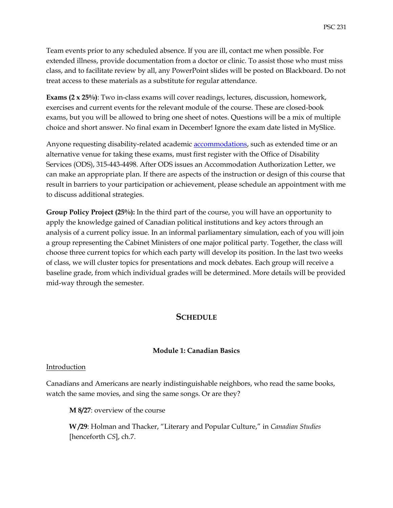Team events prior to any scheduled absence. If you are ill, contact me when possible. For extended illness, provide documentation from a doctor or clinic. To assist those who must miss class, and to facilitate review by all, any PowerPoint slides will be posted on Blackboard. Do not treat access to these materials as a substitute for regular attendance.

**Exams (2 x 25%)**: Two in-class exams will cover readings, lectures, discussion, homework, exercises and current events for the relevant module of the course. These are closed-book exams, but you will be allowed to bring one sheet of notes. Questions will be a mix of multiple choice and short answer. No final exam in December! Ignore the exam date listed in MySlice.

Anyone requesting disability-related academic **accommodations**, such as extended time or an alternative venue for taking these exams, must first register with the Office of Disability Services (ODS), 315-443-4498. After ODS issues an Accommodation Authorization Letter, we can make an appropriate plan. If there are aspects of the instruction or design of this course that result in barriers to your participation or achievement, please schedule an appointment with me to discuss additional strategies.

**Group Policy Project (25%):** In the third part of the course, you will have an opportunity to apply the knowledge gained of Canadian political institutions and key actors through an analysis of a current policy issue. In an informal parliamentary simulation, each of you will join a group representing the Cabinet Ministers of one major political party. Together, the class will choose three current topics for which each party will develop its position. In the last two weeks of class, we will cluster topics for presentations and mock debates. Each group will receive a baseline grade, from which individual grades will be determined. More details will be provided mid-way through the semester.

## **SCHEDULE**

## **Module 1: Canadian Basics**

## Introduction

Canadians and Americans are nearly indistinguishable neighbors, who read the same books, watch the same movies, and sing the same songs. Or are they?

**M 8/27**: overview of the course

**W /29**: Holman and Thacker, "Literary and Popular Culture," in *Canadian Studies* [henceforth *CS*], ch.7.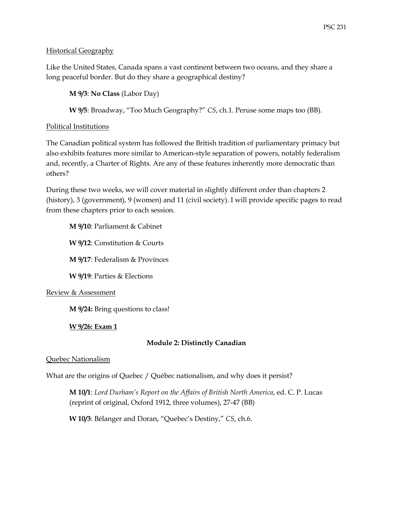## Historical Geography

Like the United States, Canada spans a vast continent between two oceans, and they share a long peaceful border. But do they share a geographical destiny?

**M 9/3**: **No Class** (Labor Day)

**W 9/5**: Broadway, "Too Much Geography?" *CS*, ch.1. Peruse some maps too (BB).

## Political Institutions

The Canadian political system has followed the British tradition of parliamentary primacy but also exhibits features more similar to American-style separation of powers, notably federalism and, recently, a Charter of Rights. Are any of these features inherently more democratic than others?

During these two weeks, we will cover material in slightly different order than chapters 2 (history), 3 (government), 9 (women) and 11 (civil society). I will provide specific pages to read from these chapters prior to each session.

**M 9/10**: Parliament & Cabinet

**W 9/12**: Constitution & Courts

**M 9/17**: Federalism & Provinces

**W 9/19**: Parties & Elections

## Review & Assessment

**M 9/24:** Bring questions to class!

## **W 9/26: Exam 1**

## **Module 2: Distinctly Canadian**

## Quebec Nationalism

What are the origins of Quebec / Québec nationalism, and why does it persist?

**M 10/1**: *Lord Durham's Report on the Affairs of British North America*, ed. C. P. Lucas (reprint of original, Oxford 1912, three volumes), 27-47 (BB)

**W 10/3**: Bélanger and Doran, "Quebec's Destiny," *CS*, ch.6.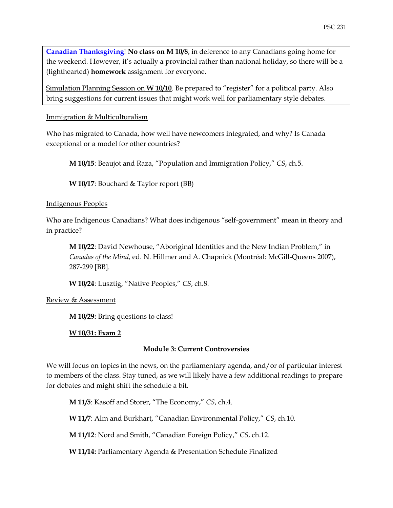**[Canadian Thanksgiving](https://www.officeholidays.com/countries/canada/thanksgiving.php)**! **No class on M 10/8**, in deference to any Canadians going home for the weekend. However, it's actually a provincial rather than national holiday, so there will be a (lighthearted) **homework** assignment for everyone.

Simulation Planning Session on **W 10/10**. Be prepared to "register" for a political party. Also bring suggestions for current issues that might work well for parliamentary style debates.

Immigration & Multiculturalism

Who has migrated to Canada, how well have newcomers integrated, and why? Is Canada exceptional or a model for other countries?

**M 10/15**: Beaujot and Raza, "Population and Immigration Policy," *CS*, ch.5.

**W 10/17**: Bouchard & Taylor report (BB)

## Indigenous Peoples

Who are Indigenous Canadians? What does indigenous "self-government" mean in theory and in practice?

**M 10/22**: David Newhouse, "Aboriginal Identities and the New Indian Problem," in *Canadas of the Mind*, ed. N. Hillmer and A. Chapnick (Montréal: McGill-Queens 2007), 287-299 [BB].

**W 10/24**: Lusztig, "Native Peoples," *CS*, ch.8.

## Review & Assessment

**M 10/29:** Bring questions to class!

## **W 10/31: Exam 2**

## **Module 3: Current Controversies**

We will focus on topics in the news, on the parliamentary agenda, and/or of particular interest to members of the class. Stay tuned, as we will likely have a few additional readings to prepare for debates and might shift the schedule a bit.

**M 11/5**: Kasoff and Storer, "The Economy," *CS*, ch.4.

**W 11/7**: Alm and Burkhart, "Canadian Environmental Policy," *CS*, ch.10.

**M 11/12**: Nord and Smith, "Canadian Foreign Policy," *CS*, ch.12.

**W 11/14:** Parliamentary Agenda & Presentation Schedule Finalized